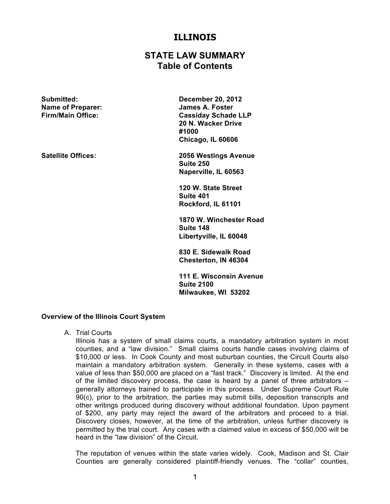# **ILLINOIS**

# **STATE LAW SUMMARY Table of Contents**

**Submitted: December 20, 2012 Name of Preparer: James A. Foster**

**Firm/Main Office: Cassiday Schade LLP 20 N. Wacker Drive #1000 Chicago, IL 60606**

**Satellite Offices: 2056 Westings Avenue Suite 250 Naperville, IL 60563**

> **120 W. State Street Suite 401 Rockford, IL 61101**

**1870 W. Winchester Road Suite 148 Libertyville, IL 60048**

**830 E. Sidewalk Road Chesterton, IN 46304**

**111 E. Wisconsin Avenue Suite 2100 Milwaukee, WI 53202**

## **Overview of the Illinois Court System**

A. Trial Courts

Illinois has a system of small claims courts, a mandatory arbitration system in most counties, and a "law division." Small claims courts handle cases involving claims of \$10,000 or less. In Cook County and most suburban counties, the Circuit Courts also maintain a mandatory arbitration system. Generally in these systems, cases with a value of less than \$50,000 are placed on a "fast track." Discovery is limited. At the end of the limited discovery process, the case is heard by a panel of three arbitrators – generally attorneys trained to participate in this process. Under Supreme Court Rule 90(c), prior to the arbitration, the parties may submit bills, deposition transcripts and other writings produced during discovery without additional foundation. Upon payment of \$200, any party may reject the award of the arbitrators and proceed to a trial. Discovery closes, however, at the time of the arbitration, unless further discovery is permitted by the trial court. Any cases with a claimed value in excess of \$50,000 will be heard in the "law division" of the Circuit.

The reputation of venues within the state varies widely. Cook, Madison and St. Clair Counties are generally considered plaintiff-friendly venues. The "collar" counties,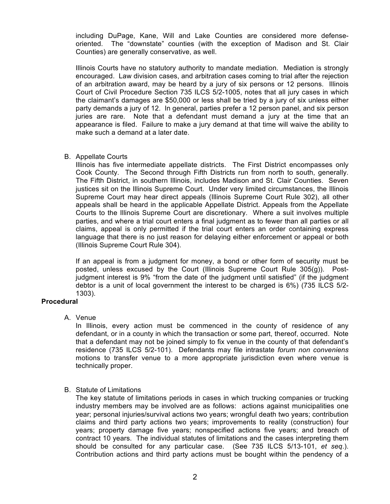including DuPage, Kane, Will and Lake Counties are considered more defenseoriented. The "downstate" counties (with the exception of Madison and St. Clair Counties) are generally conservative, as well.

Illinois Courts have no statutory authority to mandate mediation. Mediation is strongly encouraged. Law division cases, and arbitration cases coming to trial after the rejection of an arbitration award, may be heard by a jury of six persons or 12 persons. Illinois Court of Civil Procedure Section 735 ILCS 5/2-1005, notes that all jury cases in which the claimant's damages are \$50,000 or less shall be tried by a jury of six unless either party demands a jury of 12. In general, parties prefer a 12 person panel, and six person juries are rare. Note that a defendant must demand a jury at the time that an appearance is filed. Failure to make a jury demand at that time will waive the ability to make such a demand at a later date.

## B. Appellate Courts

Illinois has five intermediate appellate districts. The First District encompasses only Cook County. The Second through Fifth Districts run from north to south, generally. The Fifth District, in southern Illinois, includes Madison and St. Clair Counties. Seven justices sit on the Illinois Supreme Court. Under very limited circumstances, the Illinois Supreme Court may hear direct appeals (Illinois Supreme Court Rule 302), all other appeals shall be heard in the applicable Appellate District. Appeals from the Appellate Courts to the Illinois Supreme Court are discretionary. Where a suit involves multiple parties, and where a trial court enters a final judgment as to fewer than all parties or all claims, appeal is only permitted if the trial court enters an order containing express language that there is no just reason for delaying either enforcement or appeal or both (Illinois Supreme Court Rule 304).

If an appeal is from a judgment for money, a bond or other form of security must be posted, unless excused by the Court (Illinois Supreme Court Rule 305(g)). Postjudgment interest is 9% "from the date of the judgment until satisfied" (if the judgment debtor is a unit of local government the interest to be charged is 6%) (735 ILCS 5/2- 1303).

# **Procedural**

A. Venue

In Illinois, every action must be commenced in the county of residence of any defendant, or in a county in which the transaction or some part, thereof, occurred. Note that a defendant may not be joined simply to fix venue in the county of that defendant's residence (735 ILCS 5/2-101). Defendants may file intrastate *forum non conveniens*  motions to transfer venue to a more appropriate jurisdiction even where venue is technically proper.

# B. Statute of Limitations

The key statute of limitations periods in cases in which trucking companies or trucking industry members may be involved are as follows: actions against municipalities one year; personal injuries/survival actions two years; wrongful death two years; contribution claims and third party actions two years; improvements to reality (construction) four years; property damage five years; nonspecified actions five years; and breach of contract 10 years. The individual statutes of limitations and the cases interpreting them should be consulted for any particular case. (See 735 ILCS 5/13-101, *et seq*.). Contribution actions and third party actions must be bought within the pendency of a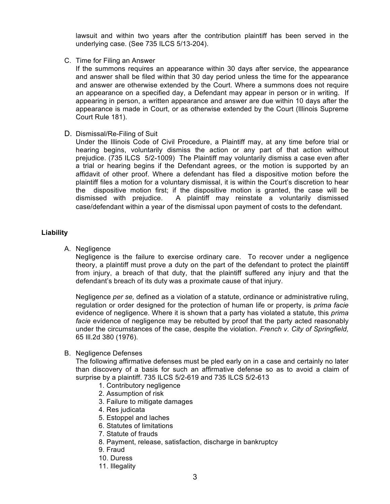lawsuit and within two years after the contribution plaintiff has been served in the underlying case. (See 735 ILCS 5/13-204).

C. Time for Filing an Answer

If the summons requires an appearance within 30 days after service, the appearance and answer shall be filed within that 30 day period unless the time for the appearance and answer are otherwise extended by the Court. Where a summons does not require an appearance on a specified day, a Defendant may appear in person or in writing. If appearing in person, a written appearance and answer are due within 10 days after the appearance is made in Court, or as otherwise extended by the Court (Illinois Supreme Court Rule 181).

D. Dismissal/Re-Filing of Suit

Under the Illinois Code of Civil Procedure, a Plaintiff may, at any time before trial or hearing begins, voluntarily dismiss the action or any part of that action without prejudice. (735 ILCS 5/2-1009) The Plaintiff may voluntarily dismiss a case even after a trial or hearing begins if the Defendant agrees, or the motion is supported by an affidavit of other proof. Where a defendant has filed a dispositive motion before the plaintiff files a motion for a voluntary dismissal, it is within the Court's discretion to hear the dispositive motion first; if the dispositive motion is granted, the case will be dismissed with prejudice. A plaintiff may reinstate a voluntarily dismissed case/defendant within a year of the dismissal upon payment of costs to the defendant.

## **Liability**

A. Negligence

Negligence is the failure to exercise ordinary care. To recover under a negligence theory, a plaintiff must prove a duty on the part of the defendant to protect the plaintiff from injury, a breach of that duty, that the plaintiff suffered any injury and that the defendant's breach of its duty was a proximate cause of that injury.

Negligence *per se,* defined as a violation of a statute, ordinance or administrative ruling, regulation or order designed for the protection of human life or property, is *prima facie*  evidence of negligence. Where it is shown that a party has violated a statute, this *prima facie* evidence of negligence may be rebutted by proof that the party acted reasonably under the circumstances of the case, despite the violation. *French v. City of Springfield,* 65 Ill.2d 380 (1976).

B. Negligence Defenses

The following affirmative defenses must be pled early on in a case and certainly no later than discovery of a basis for such an affirmative defense so as to avoid a claim of surprise by a plaintiff. 735 ILCS 5/2-619 and 735 ILCS 5/2-613

- 1. Contributory negligence
- 2. Assumption of risk
- 3. Failure to mitigate damages
- 4. Res judicata
- 5. Estoppel and laches
- 6. Statutes of limitations
- 7. Statute of frauds
- 8. Payment, release, satisfaction, discharge in bankruptcy
- 9. Fraud
- 10. Duress
- 11. Illegality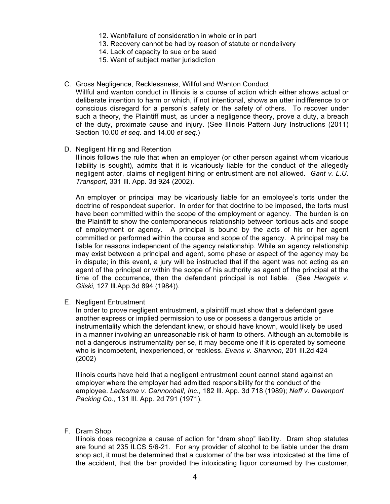- 12. Want/failure of consideration in whole or in part
- 13. Recovery cannot be had by reason of statute or nondelivery
- 14. Lack of capacity to sue or be sued
- 15. Want of subject matter jurisdiction

## C. Gross Negligence, Recklessness, Willful and Wanton Conduct

Willful and wanton conduct in Illinois is a course of action which either shows actual or deliberate intention to harm or which, if not intentional, shows an utter indifference to or conscious disregard for a person's safety or the safety of others. To recover under such a theory, the Plaintiff must, as under a negligence theory, prove a duty, a breach of the duty, proximate cause and injury. (See Illinois Pattern Jury Instructions (2011) Section 10.00 *et seq*. and 14.00 *et seq*.)

D. Negligent Hiring and Retention

Illinois follows the rule that when an employer (or other person against whom vicarious liability is sought), admits that it is vicariously liable for the conduct of the allegedly negligent actor, claims of negligent hiring or entrustment are not allowed. *Gant v. L.U. Transport,* 331 Ill. App. 3d 924 (2002).

An employer or principal may be vicariously liable for an employee's torts under the doctrine of respondeat superior. In order for that doctrine to be imposed, the torts must have been committed within the scope of the employment or agency. The burden is on the Plaintiff to show the contemporaneous relationship between tortious acts and scope of employment or agency. A principal is bound by the acts of his or her agent committed or performed within the course and scope of the agency. A principal may be liable for reasons independent of the agency relationship. While an agency relationship may exist between a principal and agent, some phase or aspect of the agency may be in dispute; in this event, a jury will be instructed that if the agent was not acting as an agent of the principal or within the scope of his authority as agent of the principal at the time of the occurrence, then the defendant principal is not liable. (See *Hengels v. Gilski,* 127 Ill.App.3d 894 (1984)).

E. Negligent Entrustment

In order to prove negligent entrustment, a plaintiff must show that a defendant gave another express or implied permission to use or possess a dangerous article or instrumentality which the defendant knew, or should have known, would likely be used in a manner involving an unreasonable risk of harm to others. Although an automobile is not a dangerous instrumentality per se, it may become one if it is operated by someone who is incompetent, inexperienced, or reckless. *Evans v. Shannon,* 201 Ill.2d 424 (2002)

Illinois courts have held that a negligent entrustment count cannot stand against an employer where the employer had admitted responsibility for the conduct of the employee. *Ledesma v. Cannonball, Inc.,* 182 Ill. App. 3d 718 (1989); *Neff v. Davenport Packing Co.*, 131 Ill. App. 2d 791 (1971).

F. Dram Shop

Illinois does recognize a cause of action for "dram shop" liability. Dram shop statutes are found at 235 ILCS 5/6-21. For any provider of alcohol to be liable under the dram shop act, it must be determined that a customer of the bar was intoxicated at the time of the accident, that the bar provided the intoxicating liquor consumed by the customer,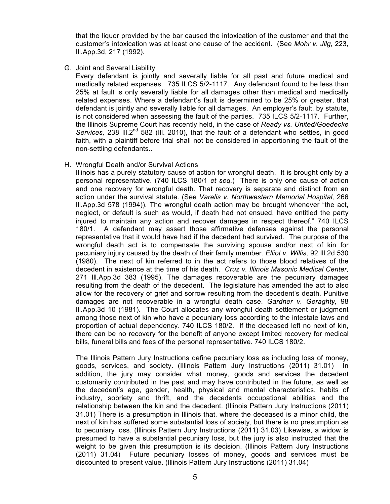that the liquor provided by the bar caused the intoxication of the customer and that the customer's intoxication was at least one cause of the accident. (See *Mohr v. Jilg*, 223, Ill.App.3d, 217 (1992).

G. Joint and Several Liability

Every defendant is jointly and severally liable for all past and future medical and medically related expenses. 735 ILCS 5/2-1117. Any defendant found to be less than 25% at fault is only severally liable for all damages other than medical and medically related expenses. Where a defendant's fault is determined to be 25% or greater, that defendant is jointly and severally liable for all damages. An employer's fault, by statute, is not considered when assessing the fault of the parties. 735 ILCS 5/2-1117. Further, the Illinois Supreme Court has recently held, in the case of *Ready vs. United/Goedecke* Services, 238 III.2<sup>nd</sup> 582 (III. 2010), that the fault of a defendant who settles, in good faith, with a plaintiff before trial shall not be considered in apportioning the fault of the non-settling defendants..

## H. Wrongful Death and/or Survival Actions

Illinois has a purely statutory cause of action for wrongful death. It is brought only by a personal representative. (740 ILCS 180/1 *et seq.*) There is only one cause of action and one recovery for wrongful death. That recovery is separate and distinct from an action under the survival statute. (See *Varelis v. Northwestern Memorial Hospital,* 266 Ill.App.3d 578 (1994)). The wrongful death action may be brought whenever "the act, neglect, or default is such as would, if death had not ensued, have entitled the party injured to maintain any action and recover damages in respect thereof." 740 ILCS 180/1. A defendant may assert those affirmative defenses against the personal representative that it would have had if the decedent had survived. The purpose of the wrongful death act is to compensate the surviving spouse and/or next of kin for pecuniary injury caused by the death of their family member. *Elliot v. Willis,* 92 Ill.2d 530 (1980). The next of kin referred to in the act refers to those blood relatives of the decedent in existence at the time of his death. *Cruz v. Illinois Masonic Medical Center,* 271 Ill.App.3d 383 (1995). The damages recoverable are the pecuniary damages resulting from the death of the decedent. The legislature has amended the act to also allow for the recovery of grief and sorrow resulting from the decedent's death. Punitive damages are not recoverable in a wrongful death case. *Gardner v. Geraghty,* 98 Ill.App.3d 10 (1981).The Court allocates any wrongful death settlement or judgment among those next of kin who have a pecuniary loss according to the intestate laws and proportion of actual dependency. 740 ILCS 180/2. If the deceased left no next of kin, there can be no recovery for the benefit of anyone except limited recovery for medical bills, funeral bills and fees of the personal representative. 740 ILCS 180/2.

The Illinois Pattern Jury Instructions define pecuniary loss as including loss of money, goods, services, and society. (Illinois Pattern Jury Instructions (2011) 31.01) In addition, the jury may consider what money, goods and services the decedent customarily contributed in the past and may have contributed in the future, as well as the decedent's age, gender, health, physical and mental characteristics, habits of industry, sobriety and thrift, and the decedents occupational abilities and the relationship between the kin and the decedent. (Illinois Pattern Jury Instructions (2011) 31.01) There is a presumption in Illinois that, where the deceased is a minor child, the next of kin has suffered some substantial loss of society, but there is no presumption as to pecuniary loss. (Illinois Pattern Jury Instructions (2011) 31.03) Likewise, a widow is presumed to have a substantial pecuniary loss, but the jury is also instructed that the weight to be given this presumption is its decision. (Illinois Pattern Jury Instructions (2011) 31.04) Future pecuniary losses of money, goods and services must be discounted to present value. (Illinois Pattern Jury Instructions (2011) 31.04)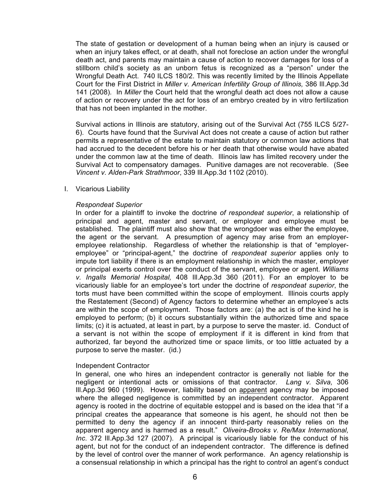The state of gestation or development of a human being when an injury is caused or when an injury takes effect, or at death, shall not foreclose an action under the wrongful death act, and parents may maintain a cause of action to recover damages for loss of a stillborn child's society as an unborn fetus is recognized as a "person" under the Wrongful Death Act. 740 ILCS 180/2. This was recently limited by the Illinois Appellate Court for the First District in *Miller v. American Infertility Group of Illinois,* 386 Ill.App.3d 141 (2008)*.* In *Miller* the Court held that the wrongful death act does not allow a cause of action or recovery under the act for loss of an embryo created by in vitro fertilization that has not been implanted in the mother.

Survival actions in Illinois are statutory, arising out of the Survival Act (755 ILCS 5/27- 6). Courts have found that the Survival Act does not create a cause of action but rather permits a representative of the estate to maintain statutory or common law actions that had accrued to the decedent before his or her death that otherwise would have abated under the common law at the time of death. Illinois law has limited recovery under the Survival Act to compensatory damages. Punitive damages are not recoverable. (See *Vincent v. Alden-Park Strathmoor*, 339 Ill.App.3d 1102 (2010).

#### I. Vicarious Liability

#### *Respondeat Superior*

In order for a plaintiff to invoke the doctrine *of respondeat superior*, a relationship of principal and agent, master and servant, or employer and employee must be established. The plaintiff must also show that the wrongdoer was either the employee, the agent or the servant. A presumption of agency may arise from an employeremployee relationship. Regardless of whether the relationship is that of "employeremployee" or "principal-agent," the doctrine of *respondeat superior* applies only to impute tort liability if there is an employment relationship in which the master, employer or principal exerts control over the conduct of the servant, employee or agent. *Williams v. Ingalls Memorial Hospital,* 408 Ill.App.3d 360 (2011). For an employer to be vicariously liable for an employee's tort under the doctrine of *respondeat superior*, the torts must have been committed within the scope of employment. Illinois courts apply the Restatement (Second) of Agency factors to determine whether an employee's acts are within the scope of employment. Those factors are: (a) the act is of the kind he is employed to perform; (b) it occurs substantially within the authorized time and space limits; (c) it is actuated, at least in part, by a purpose to serve the master. id. Conduct of a servant is not within the scope of employment if it is different in kind from that authorized, far beyond the authorized time or space limits, or too little actuated by a purpose to serve the master. (id.)

#### Independent Contractor

In general, one who hires an independent contractor is generally not liable for the negligent or intentional acts or omissions of that contractor. *Lang v. Silva,* 306 Ill.App.3d 960 (1999). However, liability based on apparent agency may be imposed where the alleged negligence is committed by an independent contractor. Apparent agency is rooted in the doctrine of equitable estoppel and is based on the idea that "if a principal creates the appearance that someone is his agent, he should not then be permitted to deny the agency if an innocent third-party reasonably relies on the apparent agency and is harmed as a result." *Oliveira-Brooks v. Re/Max International, Inc*. 372 Ill.App.3d 127 (2007). A principal is vicariously liable for the conduct of his agent, but not for the conduct of an independent contractor. The difference is defined by the level of control over the manner of work performance. An agency relationship is a consensual relationship in which a principal has the right to control an agent's conduct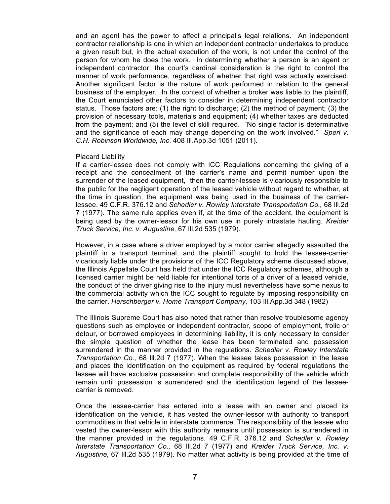and an agent has the power to affect a principal's legal relations. An independent contractor relationship is one in which an independent contractor undertakes to produce a given result but, in the actual execution of the work, is not under the control of the person for whom he does the work. In determining whether a person is an agent or independent contractor, the court's cardinal consideration is the right to control the manner of work performance, regardless of whether that right was actually exercised. Another significant factor is the nature of work performed in relation to the general business of the employer. In the context of whether a broker was liable to the plaintiff, the Court enunciated other factors to consider in determining independent contractor status. Those factors are: (1) the right to discharge; (2) the method of payment; (3) the provision of necessary tools, materials and equipment; (4) whether taxes are deducted from the payment; and (5) the level of skill required. "No single factor is determinative and the significance of each may change depending on the work involved." *Sperl v. C.H. Robinson Worldwide, Inc*. 408 Ill.App.3d 1051 (2011).

#### Placard Liability

If a carrier-lessee does not comply with ICC Regulations concerning the giving of a receipt and the concealment of the carrier's name and permit number upon the surrender of the leased equipment, then the carrier-lessee is vicariously responsible to the public for the negligent operation of the leased vehicle without regard to whether, at the time in question, the equipment was being used in the business of the carrierlessee. 49 C.F.R. 376.12 and *Schedler v. Rowley Interstate Transportation Co.,* 68 Ill.2d 7 (1977). The same rule applies even if, at the time of the accident, the equipment is being used by the owner-lessor for his own use in purely intrastate hauling. *Kreider Truck Service, Inc. v. Augustine,* 67 Ill.2d 535 (1979).

However, in a case where a driver employed by a motor carrier allegedly assaulted the plaintiff in a transport terminal, and the plaintiff sought to hold the lessee-carrier vicariously liable under the provisions of the ICC Regulatory scheme discussed above, the Illinois Appellate Court has held that under the ICC Regulatory schemes, although a licensed carrier might be held liable for intentional torts of a driver of a leased vehicle, the conduct of the driver giving rise to the injury must nevertheless have some nexus to the commercial activity which the ICC sought to regulate by imposing responsibility on the carrier. *Herschberger v. Home Transport Company,* 103 Ill.App.3d 348 (1982)

The Illinois Supreme Court has also noted that rather than resolve troublesome agency questions such as employee or independent contractor, scope of employment, frolic or detour, or borrowed employees in determining liability, it is only necessary to consider the simple question of whether the lease has been terminated and possession surrendered in the manner provided in the regulations. *Schedler v. Rowley Interstate Transportation Co.,* 68 Ill.2d 7 (1977). When the lessee takes possession in the lease and places the identification on the equipment as required by federal regulations the lessee will have exclusive possession and complete responsibility of the vehicle which remain until possession is surrendered and the identification legend of the lesseecarrier is removed.

Once the lessee-carrier has entered into a lease with an owner and placed its identification on the vehicle, it has vested the owner-lessor with authority to transport commodities in that vehicle in interstate commerce. The responsibility of the lessee who vested the owner-lessor with this authority remains until possession is surrendered in the manner provided in the regulations. 49 C.F.R. 376.12 and *Schedler v. Rowley Interstate Transportation Co.,* 68 Ill.2d 7 (1977) and *Kreider Truck Service, Inc. v. Augustine,* 67 Ill.2d 535 (1979). No matter what activity is being provided at the time of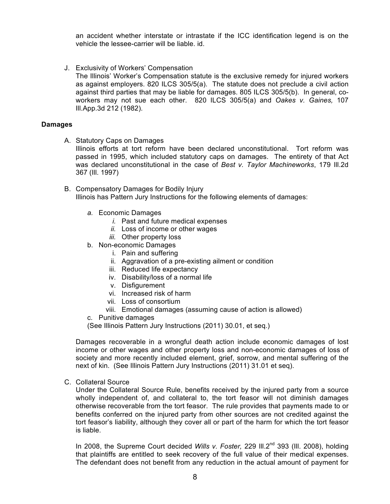an accident whether interstate or intrastate if the ICC identification legend is on the vehicle the lessee-carrier will be liable. id.

J. Exclusivity of Workers' Compensation The Illinois' Worker's Compensation statute is the exclusive remedy for injured workers as against employers. 820 ILCS 305/5(a). The statute does not preclude a civil action against third parties that may be liable for damages. 805 ILCS 305/5(b). In general, coworkers may not sue each other. 820 ILCS 305/5(a) and *Oakes v. Gaines,* 107 Ill.App.3d 212 (1982).

#### **Damages**

A. Statutory Caps on Damages

Illinois efforts at tort reform have been declared unconstitutional. Tort reform was passed in 1995, which included statutory caps on damages. The entirety of that Act was declared unconstitutional in the case of *Best v. Taylor Machineworks*, 179 Ill.2d 367 (Ill. 1997)

- B. Compensatory Damages for Bodily Injury Illinois has Pattern Jury Instructions for the following elements of damages:
	- *a.* Economic Damages
		- *i.* Past and future medical expenses
		- *ii.* Loss of income or other wages
		- *iii.* Other property loss
	- b. Non-economic Damages
		- i. Pain and suffering
		- ii. Aggravation of a pre-existing ailment or condition
		- iii. Reduced life expectancy
		- iv. Disability/loss of a normal life
		- v. Disfigurement
		- vi. Increased risk of harm
		- vii. Loss of consortium
		- viii. Emotional damages (assuming cause of action is allowed)
	- c. Punitive damages

(See Illinois Pattern Jury Instructions (2011) 30.01, et seq.)

Damages recoverable in a wrongful death action include economic damages of lost income or other wages and other property loss and non-economic damages of loss of society and more recently included element, grief, sorrow, and mental suffering of the next of kin. (See Illinois Pattern Jury Instructions (2011) 31.01 et seq).

C. Collateral Source

Under the Collateral Source Rule, benefits received by the injured party from a source wholly independent of, and collateral to, the tort feasor will not diminish damages otherwise recoverable from the tort feasor. The rule provides that payments made to or benefits conferred on the injured party from other sources are not credited against the tort feasor's liability, although they cover all or part of the harm for which the tort feasor is liable.

In 2008, the Supreme Court decided *Wills v. Foster*, 229 III.2<sup>nd</sup> 393 (III. 2008), holding that plaintiffs are entitled to seek recovery of the full value of their medical expenses. The defendant does not benefit from any reduction in the actual amount of payment for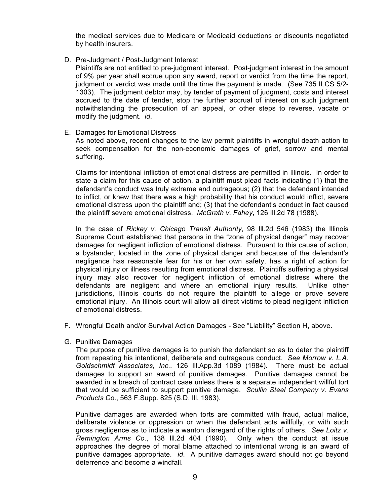the medical services due to Medicare or Medicaid deductions or discounts negotiated by health insurers.

D. Pre-Judgment / Post-Judgment Interest

Plaintiffs are not entitled to pre-judgment interest. Post-judgment interest in the amount of 9% per year shall accrue upon any award, report or verdict from the time the report, judgment or verdict was made until the time the payment is made. (See 735 ILCS 5/2- 1303). The judgment debtor may, by tender of payment of judgment, costs and interest accrued to the date of tender, stop the further accrual of interest on such judgment notwithstanding the prosecution of an appeal, or other steps to reverse, vacate or modify the judgment. *id*.

E. Damages for Emotional Distress

As noted above, recent changes to the law permit plaintiffs in wrongful death action to seek compensation for the non-economic damages of grief, sorrow and mental suffering.

Claims for intentional infliction of emotional distress are permitted in Illinois. In order to state a claim for this cause of action, a plaintiff must plead facts indicating (1) that the defendant's conduct was truly extreme and outrageous; (2) that the defendant intended to inflict, or knew that there was a high probability that his conduct would inflict, severe emotional distress upon the plaintiff and; (3) that the defendant's conduct in fact caused the plaintiff severe emotional distress. *McGrath v. Fahey*, 126 Ill.2d 78 (1988).

In the case of *Rickey v. Chicago Transit Authority*, 98 Ill.2d 546 (1983) the Illinois Supreme Court established that persons in the "zone of physical danger" may recover damages for negligent infliction of emotional distress. Pursuant to this cause of action, a bystander, located in the zone of physical danger and because of the defendant's negligence has reasonable fear for his or her own safety, has a right of action for physical injury or illness resulting from emotional distress. Plaintiffs suffering a physical injury may also recover for negligent infliction of emotional distress where the defendants are negligent and where an emotional injury results. Unlike other jurisdictions, Illinois courts do not require the plaintiff to allege or prove severe emotional injury. An Illinois court will allow all direct victims to plead negligent infliction of emotional distress.

- F. Wrongful Death and/or Survival Action Damages *-* See "Liability" Section H, above.
- G. Punitive Damages

The purpose of punitive damages is to punish the defendant so as to deter the plaintiff from repeating his intentional, deliberate and outrageous conduct. *See Morrow v. L.A. Goldschmidt Associates, Inc..* 126 Ill.App.3d 1089 (1984). There must be actual damages to support an award of punitive damages. Punitive damages cannot be awarded in a breach of contract case unless there is a separate independent willful tort that would be sufficient to support punitive damage. *Scullin Steel Company v. Evans Products Co*., 563 F.Supp. 825 (S.D. Ill. 1983).

Punitive damages are awarded when torts are committed with fraud, actual malice, deliberate violence or oppression or when the defendant acts willfully, or with such gross negligence as to indicate a wanton disregard of the rights of others. *See Loitz v. Remington Arms Co*., 138 Ill.2d 404 (1990). Only when the conduct at issue approaches the degree of moral blame attached to intentional wrong is an award of punitive damages appropriate. *id*. A punitive damages award should not go beyond deterrence and become a windfall.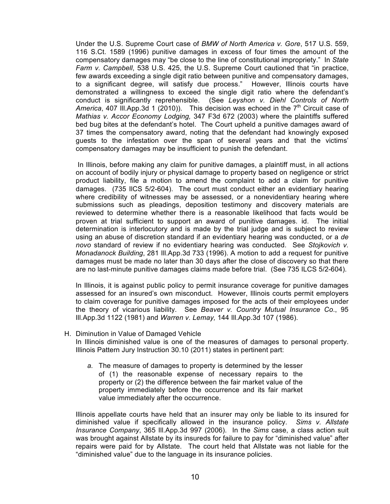Under the U.S. Supreme Court case of *BMW of North America v. Gore*, 517 U.S. 559, 116 S.Ct. 1589 (1996) punitive damages in excess of four times the amount of the compensatory damages may "be close to the line of constitutional impropriety." In *State Farm v. Campbell*, 538 U.S. 425, the U.S. Supreme Court cautioned that "in practice, few awards exceeding a single digit ratio between punitive and compensatory damages, to a significant degree, will satisfy due process." However, Illinois courts have demonstrated a willingness to exceed the single digit ratio where the defendant's conduct is significantly reprehensible. (See *Leyshon v. Diehl Controls of North America*, 407 III.App.3d 1 (2010)). This decision was echoed in the  $7<sup>th</sup>$  Circuit case of *Mathias v. Accor Economy Lodging,* 347 F3d 672 (2003) where the plaintiffs suffered bed bug bites at the defendant's hotel. The Court upheld a punitive damages award of 37 times the compensatory award, noting that the defendant had knowingly exposed guests to the infestation over the span of several years and that the victims' compensatory damages may be insufficient to punish the defendant.

 In Illinois, before making any claim for punitive damages, a plaintiff must, in all actions on account of bodily injury or physical damage to property based on negligence or strict product liability, file a motion to amend the complaint to add a claim for punitive damages. (735 IlCS 5/2-604). The court must conduct either an evidentiary hearing where credibility of witnesses may be assessed, or a nonevidentiary hearing where submissions such as pleadings, deposition testimony and discovery materials are reviewed to determine whether there is a reasonable likelihood that facts would be proven at trial sufficient to support an award of punitive damages. id. The initial determination is interlocutory and is made by the trial judge and is subject to review using an abuse of discretion standard if an evidentiary hearing was conducted, or a *de novo* standard of review if no evidentiary hearing was conducted. See *Stojkovich v. Monadanock Building*, 281 Ill.App.3d 733 (1996). A motion to add a request for punitive damages must be made no later than 30 days after the close of discovery so that there are no last-minute punitive damages claims made before trial. (See 735 ILCS 5/2-604).

In Illinois, it is against public policy to permit insurance coverage for punitive damages assessed for an insured's own misconduct. However, Illinois courts permit employers to claim coverage for punitive damages imposed for the acts of their employees under the theory of vicarious liability. See *Beaver v. Country Mutual Insurance Co*., 95 Ill.App.3d 1122 (1981) and *Warren v. Lemay,* 144 Ill.App.3d 107 (1986).

## H. Diminution in Value of Damaged Vehicle

In Illinois diminished value is one of the measures of damages to personal property. Illinois Pattern Jury Instruction 30.10 (2011) states in pertinent part:

*a.* The measure of damages to property is determined by the lesser of (1) the reasonable expense of necessary repairs to the property or (2) the difference between the fair market value of the property immediately before the occurrence and its fair market value immediately after the occurrence.

Illinois appellate courts have held that an insurer may only be liable to its insured for diminished value if specifically allowed in the insurance policy. *Sims v. Allstate Insurance Company*, 365 Ill.App.3d 997 (2006). In the *Sims* case, a class action suit was brought against Allstate by its insureds for failure to pay for "diminished value" after repairs were paid for by Allstate. The court held that Allstate was not liable for the "diminished value" due to the language in its insurance policies.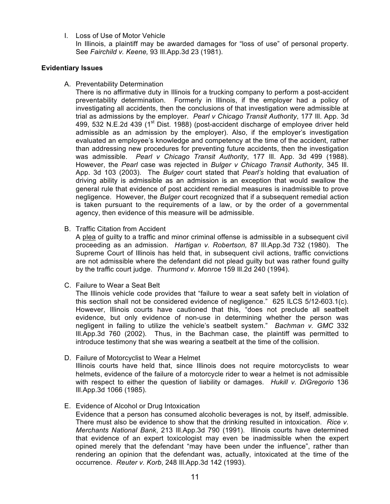I. Loss of Use of Motor Vehicle

In Illinois, a plaintiff may be awarded damages for "loss of use" of personal property. See *Fairchild v. Keene,* 93 Ill.App.3d 23 (1981).

# **Evidentiary Issues**

A. Preventability Determination

There is no affirmative duty in Illinois for a trucking company to perform a post-accident preventability determination. Formerly in Illinois, if the employer had a policy of investigating all accidents, then the conclusions of that investigation were admissible at trial as admissions by the employer. *Pearl v Chicago Transit Authority*, 177 Ill. App. 3d 499, 532 N.E.2d 439 (1<sup>st</sup> Dist. 1988) (post-accident discharge of employee driver held admissible as an admission by the employer). Also, if the employer's investigation evaluated an employee's knowledge and competency at the time of the accident, rather than addressing new procedures for preventing future accidents, then the investigation was admissible. *Pearl v Chicago Transit Authority*, 177 Ill. App. 3d 499 (1988). However, the *Pearl* case was rejected in *Bulger v Chicago Transit Authority*, 345 Ill. App. 3d 103 (2003). The *Bulger* court stated that *Pearl's* holding that evaluation of driving ability is admissible as an admission is an exception that would swallow the general rule that evidence of post accident remedial measures is inadmissible to prove negligence. However, the *Bulger* court recognized that if a subsequent remedial action is taken pursuant to the requirements of a law, or by the order of a governmental agency, then evidence of this measure will be admissible.

B. Traffic Citation from Accident

A plea of guilty to a traffic and minor criminal offense is admissible in a subsequent civil proceeding as an admission. *Hartigan v. Robertson,* 87 Ill.App.3d 732 (1980). The Supreme Court of Illinois has held that, in subsequent civil actions, traffic convictions are not admissible where the defendant did not plead guilty but was rather found guilty by the traffic court judge. *Thurmond v. Monroe* 159 Ill.2d 240 (1994).

C. Failure to Wear a Seat Belt

The Illinois vehicle code provides that "failure to wear a seat safety belt in violation of this section shall not be considered evidence of negligence." 625 ILCS 5/12-603.1(c). However, Illinois courts have cautioned that this, "does not preclude all seatbelt evidence, but only evidence of non-use in determining whether the person was negligent in failing to utilize the vehicle's seatbelt system." *Bachman v. GMC* 332 Ill.App.3d 760 (2002). Thus, in the Bachman case, the plaintiff was permitted to introduce testimony that she was wearing a seatbelt at the time of the collision.

- D. Failure of Motorcyclist to Wear a Helmet Illinois courts have held that, since Illinois does not require motorcyclists to wear helmets, evidence of the failure of a motorcycle rider to wear a helmet is not admissible with respect to either the question of liability or damages. *Hukill v. DiGregorio* 136 Ill.App.3d 1066 (1985).
- E. Evidence of Alcohol or Drug Intoxication

Evidence that a person has consumed alcoholic beverages is not, by itself, admissible. There must also be evidence to show that the drinking resulted in intoxication. *Rice v. Merchants National Bank*, 213 Ill.App.3d 790 (1991). Illinois courts have determined that evidence of an expert toxicologist may even be inadmissible when the expert opined merely that the defendant "may have been under the influence", rather than rendering an opinion that the defendant was, actually, intoxicated at the time of the occurrence. *Reuter v. Korb*, 248 Ill.App.3d 142 (1993).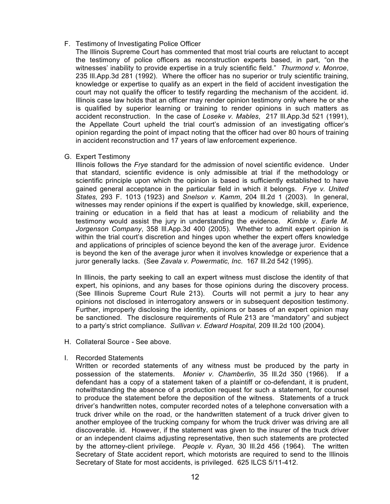# F. Testimony of Investigating Police Officer

- The Illinois Supreme Court has commented that most trial courts are reluctant to accept the testimony of police officers as reconstruction experts based, in part, "on the witnesses' inability to provide expertise in a truly scientific field." *Thurmond v. Monroe*, 235 Ill.App.3d 281 (1992). Where the officer has no superior or truly scientific training, knowledge or expertise to qualify as an expert in the field of accident investigation the court may not qualify the officer to testify regarding the mechanism of the accident. id. Illinois case law holds that an officer may render opinion testimony only where he or she is qualified by superior learning or training to render opinions in such matters as accident reconstruction. In the case of *Loseke v. Mables*, 217 Ill.App.3d 521 (1991), the Appellate Court upheld the trial court's admission of an investigating officer's opinion regarding the point of impact noting that the officer had over 80 hours of training in accident reconstruction and 17 years of law enforcement experience.
- G. Expert Testimony

Illinois follows the *Frye* standard for the admission of novel scientific evidence. Under that standard, scientific evidence is only admissible at trial if the methodology or scientific principle upon which the opinion is based is sufficiently established to have gained general acceptance in the particular field in which it belongs. *Frye v. United States,* 293 F. 1013 (1923) and *Snelson v. Kamm*, 204 Ill.2d 1 (2003). In general, witnesses may render opinions if the expert is qualified by knowledge, skill, experience, training or education in a field that has at least a modicum of reliability and the testimony would assist the jury in understanding the evidence. *Kimble v. Earle M. Jorgenson Company*, 358 Ill.App.3d 400 (2005). Whether to admit expert opinion is within the trial court's discretion and hinges upon whether the expert offers knowledge and applications of principles of science beyond the ken of the average juror. Evidence is beyond the ken of the average juror when it involves knowledge or experience that a juror generally lacks. (See *Zavala v. Powermatic, Inc*. 167 Ill.2d 542 (1995).

In Illinois, the party seeking to call an expert witness must disclose the identity of that expert, his opinions, and any bases for those opinions during the discovery process. (See Illinois Supreme Court Rule 213). Courts will not permit a jury to hear any opinions not disclosed in interrogatory answers or in subsequent deposition testimony. Further, improperly disclosing the identity, opinions or bases of an expert opinion may be sanctioned. The disclosure requirements of Rule 213 are "mandatory" and subject to a party's strict compliance. *Sullivan v. Edward Hospital,* 209 Ill.2d 100 (2004).

- H. Collateral Source *-* See above.
- I. Recorded Statements

Written or recorded statements of any witness must be produced by the party in possession of the statements. *Monier v. Chamberlin*, 35 Ill.2d 350 (1966). If a defendant has a copy of a statement taken of a plaintiff or co-defendant, it is prudent, notwithstanding the absence of a production request for such a statement, for counsel to produce the statement before the deposition of the witness. Statements of a truck driver's handwritten notes, computer recorded notes of a telephone conversation with a truck driver while on the road, or the handwritten statement of a truck driver given to another employee of the trucking company for whom the truck driver was driving are all discoverable. id. However, if the statement was given to the insurer of the truck driver or an independent claims adjusting representative, then such statements are protected by the attorney-client privilege. *People v. Ryan*, 30 Ill.2d 456 (1964). The written Secretary of State accident report, which motorists are required to send to the Illinois Secretary of State for most accidents, is privileged. 625 ILCS 5/11-412.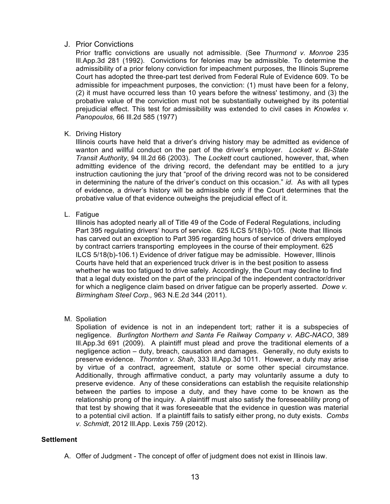# J. Prior Convictions

Prior traffic convictions are usually not admissible. (See *Thurmond v. Monroe* 235 Ill.App.3d 281 (1992). Convictions for felonies may be admissible. To determine the admissibility of a prior felony conviction for impeachment purposes, the Illinois Supreme Court has adopted the three-part test derived from Federal Rule of Evidence 609. To be admissible for impeachment purposes, the conviction: (1) must have been for a felony, (2) it must have occurred less than 10 years before the witness' testimony, and (3) the probative value of the conviction must not be substantially outweighed by its potential prejudicial effect. This test for admissibility was extended to civil cases in *Knowles v. Panopoulos,* 66 Ill.2d 585 (1977)

K. Driving History

Illinois courts have held that a driver's driving history may be admitted as evidence of wanton and willful conduct on the part of the driver's employer. *Lockett v. Bi-State Transit Authority*, 94 Ill.2d 66 (2003). The *Lockett* court cautioned, however, that, when admitting evidence of the driving record, the defendant may be entitled to a jury instruction cautioning the jury that "proof of the driving record was not to be considered in determining the nature of the driver's conduct on this occasion." *id.* As with all types of evidence, a driver's history will be admissible only if the Court determines that the probative value of that evidence outweighs the prejudicial effect of it.

L. Fatigue

Illinois has adopted nearly all of Title 49 of the Code of Federal Regulations, including Part 395 regulating drivers' hours of service. 625 ILCS 5/18(b)-105. (Note that Illinois has carved out an exception to Part 395 regarding hours of service of drivers employed by contract carriers transporting employees in the course of their employment. 625 ILCS 5/18(b)-106.1) Evidence of driver fatigue may be admissible. However, Illinois Courts have held that an experienced truck driver is in the best position to assess whether he was too fatigued to drive safely. Accordingly, the Court may decline to find that a legal duty existed on the part of the principal of the independent contractor/driver for which a negligence claim based on driver fatigue can be properly asserted. *Dowe v. Birmingham Steel Corp.,* 963 N.E.2d 344 (2011).

M. Spoliation

Spoliation of evidence is not in an independent tort; rather it is a subspecies of negligence. *Burlington Northern and Santa Fe Railway Company v. ABC-NACO*, 389 Ill.App.3d 691 (2009). A plaintiff must plead and prove the traditional elements of a negligence action – duty, breach, causation and damages. Generally, no duty exists to preserve evidence. *Thornton v. Shah*, 333 Ill.App.3d 1011. However, a duty may arise by virtue of a contract, agreement, statute or some other special circumstance. Additionally, through affirmative conduct, a party may voluntarily assume a duty to preserve evidence. Any of these considerations can establish the requisite relationship between the parties to impose a duty, and they have come to be known as the relationship prong of the inquiry. A plaintiff must also satisfy the foreseeablility prong of that test by showing that it was foreseeable that the evidence in question was material to a potential civil action. If a plaintiff fails to satisfy either prong, no duty exists. *Combs v. Schmidt*, 2012 Ill.App. Lexis 759 (2012).

# **Settlement**

A. Offer of Judgment - The concept of offer of judgment does not exist in Illinois law.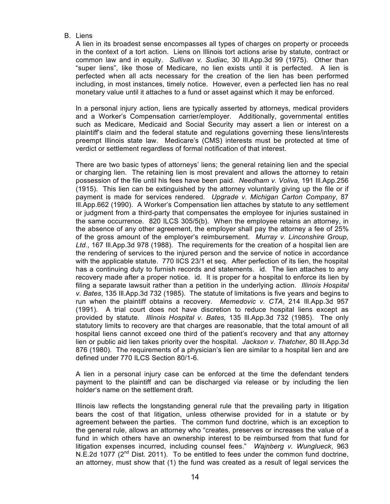B. Liens

A lien in its broadest sense encompasses all types of charges on property or proceeds in the context of a tort action. Liens on Illinois tort actions arise by statute, contract or common law and in equity. *Sullivan v. Sudiac*, 30 Ill.App.3d 99 (1975). Other than "super liens", like those of Medicare, no lien exists until it is perfected. A lien is perfected when all acts necessary for the creation of the lien has been performed including, in most instances, timely notice. However, even a perfected lien has no real monetary value until it attaches to a fund or asset against which it may be enforced.

In a personal injury action, liens are typically asserted by attorneys, medical providers and a Worker's Compensation carrier/employer. Additionally, governmental entitles such as Medicare, Medicaid and Social Security may assert a lien or interest on a plaintiff's claim and the federal statute and regulations governing these liens/interests preempt Illinois state law. Medicare's (CMS) interests must be protected at time of verdict or settlement regardless of formal notification of that interest.

There are two basic types of attorneys' liens; the general retaining lien and the special or charging lien. The retaining lien is most prevalent and allows the attorney to retain possession of the file until his fees have been paid. *Needham v. Voliva,* 191 Ill.App.256 (1915). This lien can be extinguished by the attorney voluntarily giving up the file or if payment is made for services rendered. *Upgrade v. Michigan Carton Company*, 87 Ill.App.662 (1990). A Worker's Compensation lien attaches by statute to any settlement or judgment from a third-party that compensates the employee for injuries sustained in the same occurrence. 820 ILCS 305/5(b). When the employee retains an attorney, in the absence of any other agreement, the employer shall pay the attorney a fee of 25% of the gross amount of the employer's reimbursement. *Murray v. Linconshire Group, Ltd.*, 167 Ill.App.3d 978 (1988). The requirements for the creation of a hospital lien are the rendering of services to the injured person and the service of notice in accordance with the applicable statute. 770 IlCS 23/1 et seq. After perfection of its lien, the hospital has a continuing duty to furnish records and statements. id. The lien attaches to any recovery made after a proper notice. id. It is proper for a hospital to enforce its lien by filing a separate lawsuit rather than a petition in the underlying action. *Illinois Hospital v. Bates*, 135 Ill.App.3d 732 (1985). The statute of limitations is five years and begins to run when the plaintiff obtains a recovery. *Memedovic v. CTA*, 214 Ill.App.3d 957 (1991). A trial court does not have discretion to reduce hospital liens except as provided by statute. *Illinois Hospital v. Bates,* 135 Ill.App.3d 732 (1985). The only statutory limits to recovery are that charges are reasonable, that the total amount of all hospital liens cannot exceed one third of the patient's recovery and that any attorney lien or public aid lien takes priority over the hospital. *Jackson v. Thatcher*, 80 Ill.App.3d 876 (1980). The requirements of a physician's lien are similar to a hospital lien and are defined under 770 ILCS Section 80/1-6.

A lien in a personal injury case can be enforced at the time the defendant tenders payment to the plaintiff and can be discharged via release or by including the lien holder's name on the settlement draft.

Illinois law reflects the longstanding general rule that the prevailing party in litigation bears the cost of that litigation, unless otherwise provided for in a statute or by agreement between the parties. The common fund doctrine, which is an exception to the general rule, allows an attorney who "creates, preserves or increases the value of a fund in which others have an ownership interest to be reimbursed from that fund for litigation expenses incurred, including counsel fees." *Wajnberg v. Wunglueck*, 963 N.E.2d 1077 ( $2^{nd}$  Dist. 2011). To be entitled to fees under the common fund doctrine, an attorney, must show that (1) the fund was created as a result of legal services the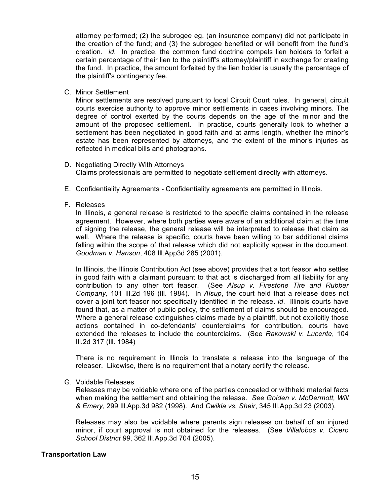attorney performed; (2) the subrogee eg. (an insurance company) did not participate in the creation of the fund; and (3) the subrogee benefited or will benefit from the fund's creation. *id*. In practice, the common fund doctrine compels lien holders to forfeit a certain percentage of their lien to the plaintiff's attorney/plaintiff in exchange for creating the fund. In practice, the amount forfeited by the lien holder is usually the percentage of the plaintiff's contingency fee.

C. Minor Settlement

Minor settlements are resolved pursuant to local Circuit Court rules. In general, circuit courts exercise authority to approve minor settlements in cases involving minors. The degree of control exerted by the courts depends on the age of the minor and the amount of the proposed settlement. In practice, courts generally look to whether a settlement has been negotiated in good faith and at arms length, whether the minor's estate has been represented by attorneys, and the extent of the minor's injuries as reflected in medical bills and photographs.

- D. Negotiating Directly With Attorneys Claims professionals are permitted to negotiate settlement directly with attorneys.
- E. Confidentiality Agreements *-* Confidentiality agreements are permitted in Illinois.
- F. Releases

In Illinois, a general release is restricted to the specific claims contained in the release agreement. However, where both parties were aware of an additional claim at the time of signing the release, the general release will be interpreted to release that claim as well. Where the release is specific, courts have been willing to bar additional claims falling within the scope of that release which did not explicitly appear in the document. *Goodman v. Hanson*, 408 Ill.App3d 285 (2001).

In Illinois, the Illinois Contribution Act (see above) provides that a tort feasor who settles in good faith with a claimant pursuant to that act is discharged from all liability for any contribution to any other tort feasor. (See *Alsup v. Firestone Tire and Rubber Company,* 101 Ill.2d 196 (Ill. 1984). In *Alsup*, the court held that a release does not cover a joint tort feasor not specifically identified in the release. *id*. Illinois courts have found that, as a matter of public policy, the settlement of claims should be encouraged. Where a general release extinguishes claims made by a plaintiff, but not explicitly those actions contained in co-defendants' counterclaims for contribution, courts have extended the releases to include the counterclaims. (See *Rakowski v. Lucente*, 104 Ill.2d 317 (Ill. 1984)

There is no requirement in Illinois to translate a release into the language of the releaser. Likewise, there is no requirement that a notary certify the release.

G. Voidable Releases

Releases may be voidable where one of the parties concealed or withheld material facts when making the settlement and obtaining the release. *See Golden v. McDermott, Will & Emery*, 299 Ill.App.3d 982 (1998). And *Cwikla vs. Sheir*, 345 Ill.App.3d 23 (2003).

Releases may also be voidable where parents sign releases on behalf of an injured minor, if court approval is not obtained for the releases. (See *Villalobos v. Cicero School District 99*, 362 Ill.App.3d 704 (2005).

# **Transportation Law**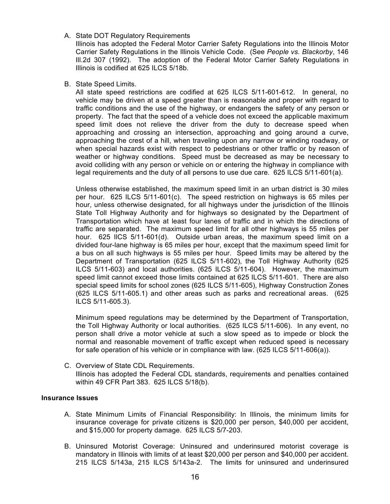A. State DOT Regulatory Requirements

Illinois has adopted the Federal Motor Carrier Safety Regulations into the Illinois Motor Carrier Safety Regulations in the Illinois Vehicle Code. (See *People vs. Blackorby*, 146 Ill.2d 307 (1992). The adoption of the Federal Motor Carrier Safety Regulations in Illinois is codified at 625 ILCS 5/18b.

## B. State Speed Limits.

All state speed restrictions are codified at 625 ILCS 5/11-601-612. In general, no vehicle may be driven at a speed greater than is reasonable and proper with regard to traffic conditions and the use of the highway, or endangers the safety of any person or property. The fact that the speed of a vehicle does not exceed the applicable maximum speed limit does not relieve the driver from the duty to decrease speed when approaching and crossing an intersection, approaching and going around a curve, approaching the crest of a hill, when traveling upon any narrow or winding roadway, or when special hazards exist with respect to pedestrians or other traffic or by reason of weather or highway conditions. Speed must be decreased as may be necessary to avoid colliding with any person or vehicle on or entering the highway in compliance with legal requirements and the duty of all persons to use due care. 625 ILCS 5/11-601(a).

Unless otherwise established, the maximum speed limit in an urban district is 30 miles per hour. 625 ILCS 5/11-601(c). The speed restriction on highways is 65 miles per hour, unless otherwise designated, for all highways under the jurisdiction of the Illinois State Toll Highway Authority and for highways so designated by the Department of Transportation which have at least four lanes of traffic and in which the directions of traffic are separated. The maximum speed limit for all other highways is 55 miles per hour. 625 IlCS 5/11-601(d). Outside urban areas, the maximum speed limit on a divided four-lane highway is 65 miles per hour, except that the maximum speed limit for a bus on all such highways is 55 miles per hour. Speed limits may be altered by the Department of Transportation (625 ILCS 5/11-602), the Toll Highway Authority (625 ILCS 5/11-603) and local authorities. (625 ILCS 5/11-604). However, the maximum speed limit cannot exceed those limits contained at 625 ILCS 5/11-601. There are also special speed limits for school zones (625 ILCS 5/11-605), Highway Construction Zones (625 ILCS 5/11-605.1) and other areas such as parks and recreational areas. (625 ILCS 5/11-605.3).

Minimum speed regulations may be determined by the Department of Transportation, the Toll Highway Authority or local authorities. (625 ILCS 5/11-606). In any event, no person shall drive a motor vehicle at such a slow speed as to impede or block the normal and reasonable movement of traffic except when reduced speed is necessary for safe operation of his vehicle or in compliance with law. (625 ILCS 5/11-606(a)).

C. Overview of State CDL Requirements. Illinois has adopted the Federal CDL standards, requirements and penalties contained within 49 CFR Part 383. 625 ILCS 5/18(b).

## **Insurance Issues**

- A. State Minimum Limits of Financial Responsibility: In Illinois, the minimum limits for insurance coverage for private citizens is \$20,000 per person, \$40,000 per accident, and \$15,000 for property damage. 625 ILCS 5/7-203.
- B. Uninsured Motorist Coverage: Uninsured and underinsured motorist coverage is mandatory in Illinois with limits of at least \$20,000 per person and \$40,000 per accident. 215 ILCS 5/143a, 215 ILCS 5/143a-2. The limits for uninsured and underinsured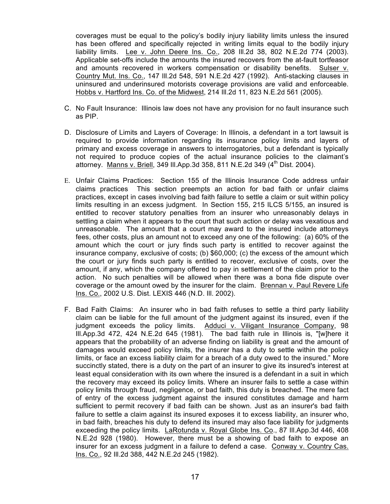coverages must be equal to the policy's bodily injury liability limits unless the insured has been offered and specifically rejected in writing limits equal to the bodily injury liability limits. Lee v. John Deere Ins. Co., 208 Ill.2d 38, 802 N.E.2d 774 (2003). Applicable set-offs include the amounts the insured recovers from the at-fault tortfeasor and amounts recovered in workers compensation or disability benefits. Sulser v. Country Mut. Ins. Co., 147 Ill.2d 548, 591 N.E.2d 427 (1992). Anti-stacking clauses in uninsured and underinsured motorists coverage provisions are valid and enforceable. Hobbs v. Hartford Ins. Co. of the Midwest, 214 Ill.2d 11, 823 N.E.2d 561 (2005).

- C. No Fault Insurance: Illinois law does not have any provision for no fault insurance such as PIP.
- D. Disclosure of Limits and Layers of Coverage: In Illinois, a defendant in a tort lawsuit is required to provide information regarding its insurance policy limits and layers of primary and excess coverage in answers to interrogatories, but a defendant is typically not required to produce copies of the actual insurance policies to the claimant's attorney. Manns v. Briell, 349 III. App. 3d 358, 811 N.E. 2d 349 (4<sup>th</sup> Dist. 2004).
- E. Unfair Claims Practices: Section 155 of the Illinois Insurance Code address unfair claims practices This section preempts an action for bad faith or unfair claims practices, except in cases involving bad faith failure to settle a claim or suit within policy limits resulting in an excess judgment. In Section 155, 215 ILCS 5/155, an insured is entitled to recover statutory penalties from an insurer who unreasonably delays in settling a claim when it appears to the court that such action or delay was vexatious and unreasonable. The amount that a court may award to the insured include attorneys fees, other costs, plus an amount not to exceed any one of the following: (a) 60% of the amount which the court or jury finds such party is entitled to recover against the insurance company, exclusive of costs; (b) \$60,000; (c) the excess of the amount which the court or jury finds such party is entitled to recover, exclusive of costs, over the amount, if any, which the company offered to pay in settlement of the claim prior to the action. No such penalties will be allowed when there was a bona fide dispute over coverage or the amount owed by the insurer for the claim. Brennan v. Paul Revere Life Ins. Co., 2002 U.S. Dist. LEXIS 446 (N.D. Ill. 2002).
- F. Bad Faith Claims: An insurer who in bad faith refuses to settle a third party liability claim can be liable for the full amount of the judgment against its insured, even if the judgment exceeds the policy limits. Adduci v. Viligant Insurance Company, 98 Ill.App.3d 472, 424 N.E.2d 645 (1981). The bad faith rule in Illinois is, "[w]here it appears that the probability of an adverse finding on liability is great and the amount of damages would exceed policy limits, the insurer has a duty to settle within the policy limits, or face an excess liability claim for a breach of a duty owed to the insured." More succinctly stated, there is a duty on the part of an insurer to give its insured's interest at least equal consideration with its own where the insured is a defendant in a suit in which the recovery may exceed its policy limits. Where an insurer fails to settle a case within policy limits through fraud, negligence, or bad faith, this duty is breached. The mere fact of entry of the excess judgment against the insured constitutes damage and harm sufficient to permit recovery if bad faith can be shown. Just as an insurer's bad faith failure to settle a claim against its insured exposes it to excess liability, an insurer who, in bad faith, breaches his duty to defend its insured may also face liability for judgments exceeding the policy limits. LaRotunda v. Royal Globe Ins. Co., 87 Ill.App.3d 446, 408 N.E.2d 928 (1980). However, there must be a showing of bad faith to expose an insurer for an excess judgment in a failure to defend a case. Conway v. Country Cas. Ins. Co., 92 Ill.2d 388, 442 N.E.2d 245 (1982).